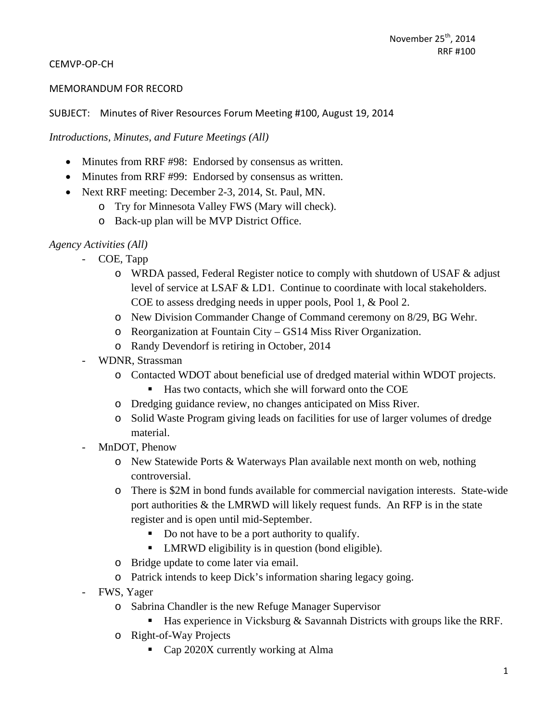## CEMVP‐OP‐CH

#### MEMORANDUM FOR RECORD

#### SUBJECT: Minutes of River Resources Forum Meeting #100, August 19, 2014

*Introductions, Minutes, and Future Meetings (All)* 

- Minutes from RRF #98: Endorsed by consensus as written.
- Minutes from RRF #99: Endorsed by consensus as written.
- Next RRF meeting: December 2-3, 2014, St. Paul, MN.
	- o Try for Minnesota Valley FWS (Mary will check).
	- o Back-up plan will be MVP District Office.

# *Agency Activities (All)*

- COE, Tapp
	- o WRDA passed, Federal Register notice to comply with shutdown of USAF & adjust level of service at LSAF & LD1. Continue to coordinate with local stakeholders. COE to assess dredging needs in upper pools, Pool 1, & Pool 2.
	- o New Division Commander Change of Command ceremony on 8/29, BG Wehr.
	- o Reorganization at Fountain City GS14 Miss River Organization.
	- o Randy Devendorf is retiring in October, 2014
- WDNR, Strassman
	- o Contacted WDOT about beneficial use of dredged material within WDOT projects.
		- Has two contacts, which she will forward onto the COE
	- o Dredging guidance review, no changes anticipated on Miss River.
	- o Solid Waste Program giving leads on facilities for use of larger volumes of dredge material.
- MnDOT, Phenow
	- o New Statewide Ports & Waterways Plan available next month on web, nothing controversial.
	- o There is \$2M in bond funds available for commercial navigation interests. State-wide port authorities  $&$  the LMRWD will likely request funds. An RFP is in the state register and is open until mid-September.
		- Do not have to be a port authority to qualify.
		- **LMRWD** eligibility is in question (bond eligible).
	- o Bridge update to come later via email.
	- o Patrick intends to keep Dick's information sharing legacy going.
- FWS, Yager
	- o Sabrina Chandler is the new Refuge Manager Supervisor
		- $\blacksquare$  Has experience in Vicksburg & Savannah Districts with groups like the RRF.
	- o Right-of-Way Projects
		- Cap 2020X currently working at Alma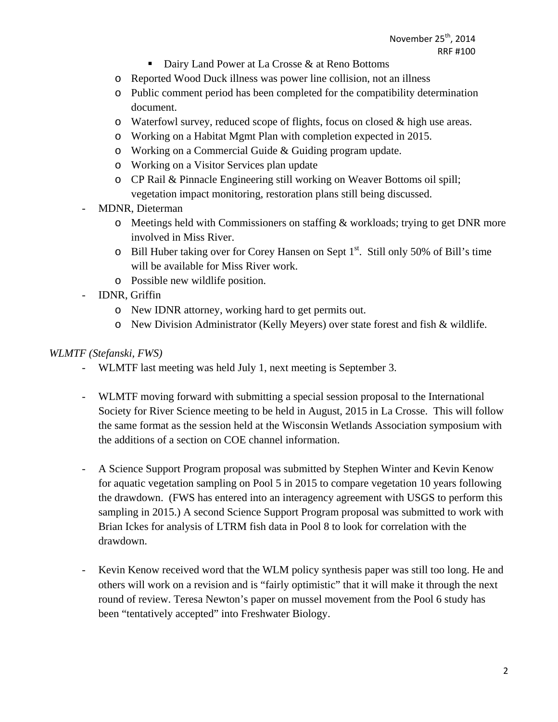- Dairy Land Power at La Crosse & at Reno Bottoms
- o Reported Wood Duck illness was power line collision, not an illness
- o Public comment period has been completed for the compatibility determination document.
- o Waterfowl survey, reduced scope of flights, focus on closed & high use areas.
- o Working on a Habitat Mgmt Plan with completion expected in 2015.
- o Working on a Commercial Guide & Guiding program update.
- o Working on a Visitor Services plan update
- o CP Rail & Pinnacle Engineering still working on Weaver Bottoms oil spill; vegetation impact monitoring, restoration plans still being discussed.
- MDNR, Dieterman
	- o Meetings held with Commissioners on staffing & workloads; trying to get DNR more involved in Miss River.
	- o Bill Huber taking over for Corey Hansen on Sept 1<sup>st</sup>. Still only 50% of Bill's time will be available for Miss River work.
	- o Possible new wildlife position.
- IDNR, Griffin
	- o New IDNR attorney, working hard to get permits out.
	- o New Division Administrator (Kelly Meyers) over state forest and fish & wildlife.

# *WLMTF (Stefanski, FWS)*

- WLMTF last meeting was held July 1, next meeting is September 3.
- WLMTF moving forward with submitting a special session proposal to the International Society for River Science meeting to be held in August, 2015 in La Crosse. This will follow the same format as the session held at the Wisconsin Wetlands Association symposium with the additions of a section on COE channel information.
- A Science Support Program proposal was submitted by Stephen Winter and Kevin Kenow for aquatic vegetation sampling on Pool 5 in 2015 to compare vegetation 10 years following the drawdown. (FWS has entered into an interagency agreement with USGS to perform this sampling in 2015.) A second Science Support Program proposal was submitted to work with Brian Ickes for analysis of LTRM fish data in Pool 8 to look for correlation with the drawdown.
- Kevin Kenow received word that the WLM policy synthesis paper was still too long. He and others will work on a revision and is "fairly optimistic" that it will make it through the next round of review. Teresa Newton's paper on mussel movement from the Pool 6 study has been "tentatively accepted" into Freshwater Biology.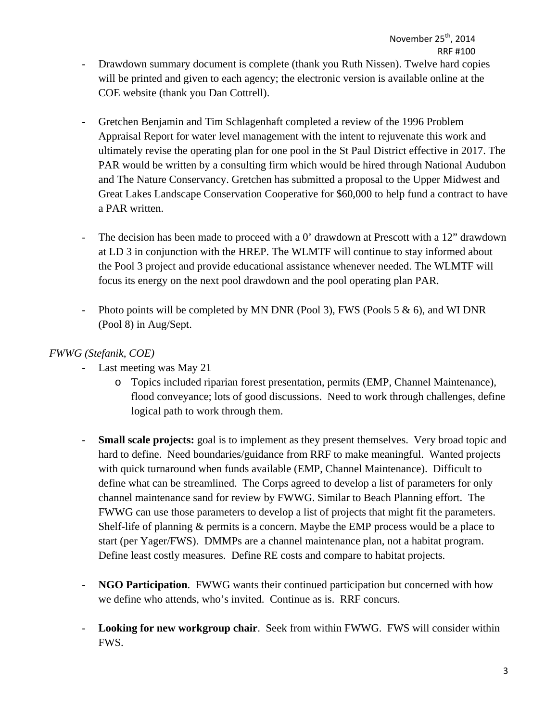- Drawdown summary document is complete (thank you Ruth Nissen). Twelve hard copies will be printed and given to each agency; the electronic version is available online at the COE website (thank you Dan Cottrell).
- Gretchen Benjamin and Tim Schlagenhaft completed a review of the 1996 Problem Appraisal Report for water level management with the intent to rejuvenate this work and ultimately revise the operating plan for one pool in the St Paul District effective in 2017. The PAR would be written by a consulting firm which would be hired through National Audubon and The Nature Conservancy. Gretchen has submitted a proposal to the Upper Midwest and Great Lakes Landscape Conservation Cooperative for \$60,000 to help fund a contract to have a PAR written.
- The decision has been made to proceed with a 0' drawdown at Prescott with a 12" drawdown at LD 3 in conjunction with the HREP. The WLMTF will continue to stay informed about the Pool 3 project and provide educational assistance whenever needed. The WLMTF will focus its energy on the next pool drawdown and the pool operating plan PAR.
- Photo points will be completed by MN DNR (Pool 3), FWS (Pools 5 & 6), and WI DNR (Pool 8) in Aug/Sept.

# *FWWG (Stefanik, COE)*

- Last meeting was May 21
	- o Topics included riparian forest presentation, permits (EMP, Channel Maintenance), flood conveyance; lots of good discussions. Need to work through challenges, define logical path to work through them.
- **Small scale projects:** goal is to implement as they present themselves. Very broad topic and hard to define. Need boundaries/guidance from RRF to make meaningful. Wanted projects with quick turnaround when funds available (EMP, Channel Maintenance). Difficult to define what can be streamlined. The Corps agreed to develop a list of parameters for only channel maintenance sand for review by FWWG. Similar to Beach Planning effort. The FWWG can use those parameters to develop a list of projects that might fit the parameters. Shelf-life of planning & permits is a concern. Maybe the EMP process would be a place to start (per Yager/FWS). DMMPs are a channel maintenance plan, not a habitat program. Define least costly measures. Define RE costs and compare to habitat projects.
- **NGO Participation**. FWWG wants their continued participation but concerned with how we define who attends, who's invited. Continue as is. RRF concurs.
- **Looking for new workgroup chair**. Seek from within FWWG. FWS will consider within FWS.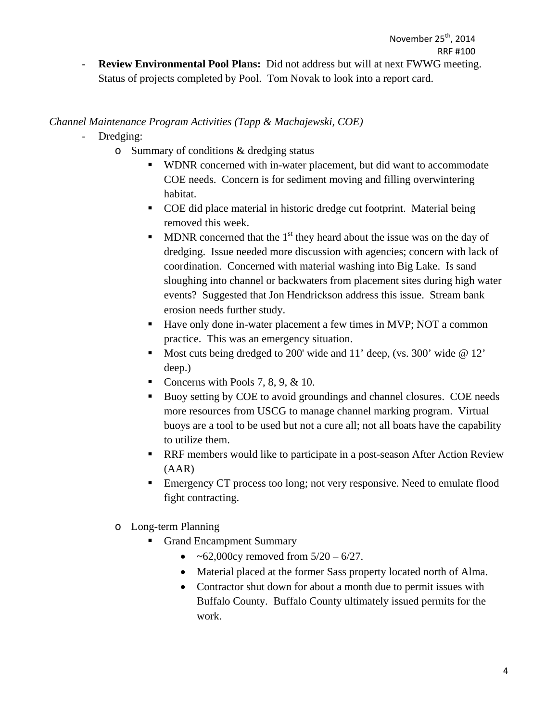- **Review Environmental Pool Plans:** Did not address but will at next FWWG meeting. Status of projects completed by Pool. Tom Novak to look into a report card.

# *Channel Maintenance Program Activities (Tapp & Machajewski, COE)*

- Dredging:
	- o Summary of conditions & dredging status
		- WDNR concerned with in-water placement, but did want to accommodate COE needs. Concern is for sediment moving and filling overwintering habitat.
		- COE did place material in historic dredge cut footprint. Material being removed this week.
		- MDNR concerned that the  $1<sup>st</sup>$  they heard about the issue was on the day of dredging. Issue needed more discussion with agencies; concern with lack of coordination. Concerned with material washing into Big Lake. Is sand sloughing into channel or backwaters from placement sites during high water events? Suggested that Jon Hendrickson address this issue. Stream bank erosion needs further study.
		- Have only done in-water placement a few times in MVP; NOT a common practice. This was an emergency situation.
		- Most cuts being dredged to 200' wide and 11' deep, (vs. 300' wide  $@12'$ deep.)
		- Concerns with Pools 7, 8, 9, & 10.
		- Buoy setting by COE to avoid groundings and channel closures. COE needs more resources from USCG to manage channel marking program. Virtual buoys are a tool to be used but not a cure all; not all boats have the capability to utilize them.
		- **RRF** members would like to participate in a post-season After Action Review (AAR)
		- Emergency CT process too long; not very responsive. Need to emulate flood fight contracting.
	- o Long-term Planning
		- Grand Encampment Summary
			- ~62,000cy removed from  $5/20 6/27$ .
			- Material placed at the former Sass property located north of Alma.
			- Contractor shut down for about a month due to permit issues with Buffalo County. Buffalo County ultimately issued permits for the work.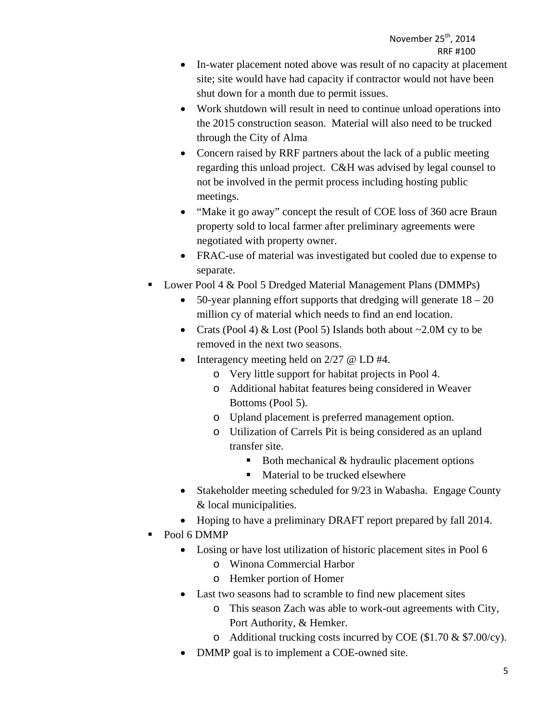- In-water placement noted above was result of no capacity at placement site; site would have had capacity if contractor would not have been shut down for a month due to permit issues.
- Work shutdown will result in need to continue unload operations into the 2015 construction season. Material will also need to be trucked through the City of Alma
- Concern raised by RRF partners about the lack of a public meeting regarding this unload project. C&H was advised by legal counsel to not be involved in the permit process including hosting public meetings.
- "Make it go away" concept the result of COE loss of 360 acre Braun property sold to local farmer after preliminary agreements were negotiated with property owner.
- FRAC-use of material was investigated but cooled due to expense to separate.
- Lower Pool 4 & Pool 5 Dredged Material Management Plans (DMMPs)
	- $\bullet$  50-year planning effort supports that dredging will generate  $18 20$ million cy of material which needs to find an end location.
	- Crats (Pool 4) & Lost (Pool 5) Islands both about  $\sim$  2.0M cy to be removed in the next two seasons.
	- Interagency meeting held on  $2/27$  @ LD #4.
		- o Very little support for habitat projects in Pool 4.
		- o Additional habitat features being considered in Weaver Bottoms (Pool 5).
		- o Upland placement is preferred management option.
		- o Utilization of Carrels Pit is being considered as an upland transfer site.
			- Both mechanical  $&$  hydraulic placement options
			- **Material to be trucked elsewhere**
	- Stakeholder meeting scheduled for 9/23 in Wabasha. Engage County & local municipalities.
	- Hoping to have a preliminary DRAFT report prepared by fall 2014.
- Pool 6 DMMP
	- Losing or have lost utilization of historic placement sites in Pool 6
		- o Winona Commercial Harbor
		- o Hemker portion of Homer
	- Last two seasons had to scramble to find new placement sites
		- o This season Zach was able to work-out agreements with City, Port Authority, & Hemker.
		- o Additional trucking costs incurred by COE (\$1.70  $&$  \$7.00/cy).
	- DMMP goal is to implement a COE-owned site.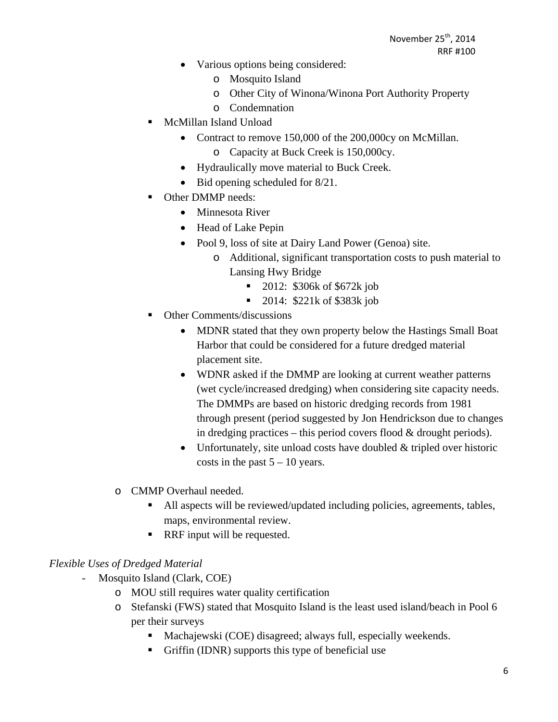- Various options being considered:
	- o Mosquito Island
	- o Other City of Winona/Winona Port Authority Property
	- o Condemnation
- McMillan Island Unload
	- Contract to remove 150,000 of the 200,000cy on McMillan.
		- o Capacity at Buck Creek is 150,000cy.
	- Hydraulically move material to Buck Creek.
	- Bid opening scheduled for  $8/21$ .
- Other DMMP needs:
	- Minnesota River
	- Head of Lake Pepin
	- Pool 9, loss of site at Dairy Land Power (Genoa) site.
		- o Additional, significant transportation costs to push material to Lansing Hwy Bridge
			- 2012: \$306k of \$672k job
			- **2014: \$221k of \$383k job**
- Other Comments/discussions
	- MDNR stated that they own property below the Hastings Small Boat Harbor that could be considered for a future dredged material placement site.
	- WDNR asked if the DMMP are looking at current weather patterns (wet cycle/increased dredging) when considering site capacity needs. The DMMPs are based on historic dredging records from 1981 through present (period suggested by Jon Hendrickson due to changes in dredging practices – this period covers flood  $&$  drought periods).
	- Unfortunately, site unload costs have doubled  $&$  tripled over historic costs in the past  $5 - 10$  years.
- o CMMP Overhaul needed.
	- All aspects will be reviewed/updated including policies, agreements, tables, maps, environmental review.
	- RRF input will be requested.

## *Flexible Uses of Dredged Material*

- *-* Mosquito Island (Clark, COE)
	- o MOU still requires water quality certification
	- o Stefanski (FWS) stated that Mosquito Island is the least used island/beach in Pool 6 per their surveys
		- Machajewski (COE) disagreed; always full, especially weekends.
		- Griffin (IDNR) supports this type of beneficial use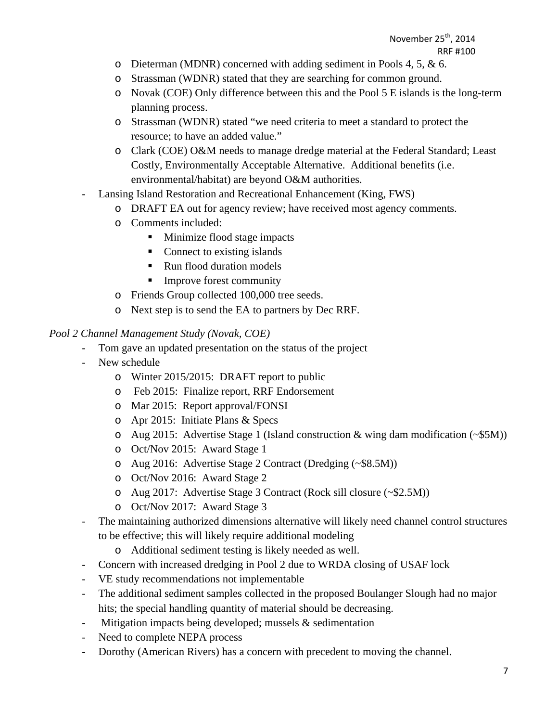- o Dieterman (MDNR) concerned with adding sediment in Pools 4, 5, & 6.
- o Strassman (WDNR) stated that they are searching for common ground.
- o Novak (COE) Only difference between this and the Pool 5 E islands is the long-term planning process.
- o Strassman (WDNR) stated "we need criteria to meet a standard to protect the resource; to have an added value."
- o Clark (COE) O&M needs to manage dredge material at the Federal Standard; Least Costly, Environmentally Acceptable Alternative. Additional benefits (i.e. environmental/habitat) are beyond O&M authorities.
- Lansing Island Restoration and Recreational Enhancement (King, FWS)
	- o DRAFT EA out for agency review; have received most agency comments.
	- o Comments included:
		- **Minimize flood stage impacts**
		- Connect to existing islands
		- Run flood duration models
		- $\blacksquare$  Improve forest community
	- o Friends Group collected 100,000 tree seeds.
	- o Next step is to send the EA to partners by Dec RRF.

#### *Pool 2 Channel Management Study (Novak, COE)*

- *-* Tom gave an updated presentation on the status of the project
- *-* New schedule
	- o Winter 2015/2015: DRAFT report to public
	- o Feb 2015: Finalize report, RRF Endorsement
	- o Mar 2015: Report approval/FONSI
	- o Apr 2015: Initiate Plans & Specs
	- o Aug 2015: Advertise Stage 1 (Island construction & wing dam modification (~\$5M))
	- o Oct/Nov 2015: Award Stage 1
	- o Aug 2016: Advertise Stage 2 Contract (Dredging (~\$8.5M))
	- o Oct/Nov 2016: Award Stage 2
	- o Aug 2017: Advertise Stage 3 Contract (Rock sill closure (~\$2.5M))
	- o Oct/Nov 2017: Award Stage 3
- The maintaining authorized dimensions alternative will likely need channel control structures to be effective; this will likely require additional modeling
	- o Additional sediment testing is likely needed as well.
- *-* Concern with increased dredging in Pool 2 due to WRDA closing of USAF lock
- *-* VE study recommendations not implementable
- *-* The additional sediment samples collected in the proposed Boulanger Slough had no major hits; the special handling quantity of material should be decreasing.
- *-* Mitigation impacts being developed; mussels & sedimentation
- *-* Need to complete NEPA process
- *-* Dorothy (American Rivers) has a concern with precedent to moving the channel.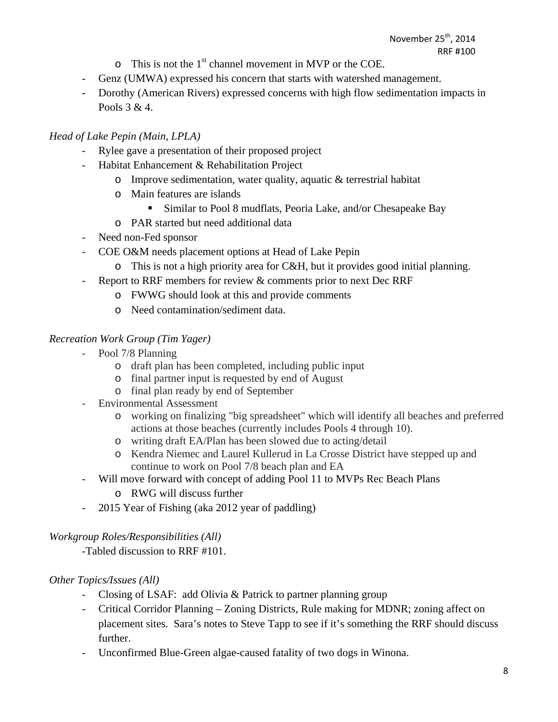- $\circ$  This is not the 1<sup>st</sup> channel movement in MVP or the COE.
- *-* Genz (UMWA) expressed his concern that starts with watershed management.
- *-* Dorothy (American Rivers) expressed concerns with high flow sedimentation impacts in Pools  $3 & 4$ .

# *Head of Lake Pepin (Main, LPLA)*

- Rylee gave a presentation of their proposed project
- Habitat Enhancement & Rehabilitation Project
	- $\circ$  Improve sedimentation, water quality, aquatic & terrestrial habitat
	- o Main features are islands
		- **Similar to Pool 8 mudflats, Peoria Lake, and/or Chesapeake Bay**
	- o PAR started but need additional data
- Need non-Fed sponsor
- COE O&M needs placement options at Head of Lake Pepin
	- o This is not a high priority area for C&H, but it provides good initial planning.
- Report to RRF members for review  $&$  comments prior to next Dec RRF
	- o FWWG should look at this and provide comments
	- o Need contamination/sediment data.

# *Recreation Work Group (Tim Yager)*

- Pool 7/8 Planning
	- o draft plan has been completed, including public input
	- o final partner input is requested by end of August
	- o final plan ready by end of September
- Environmental Assessment
	- o working on finalizing "big spreadsheet" which will identify all beaches and preferred actions at those beaches (currently includes Pools 4 through 10).
	- o writing draft EA/Plan has been slowed due to acting/detail
	- o Kendra Niemec and Laurel Kullerud in La Crosse District have stepped up and continue to work on Pool 7/8 beach plan and EA
- Will move forward with concept of adding Pool 11 to MVPs Rec Beach Plans
	- o RWG will discuss further
- 2015 Year of Fishing (aka 2012 year of paddling)

## *Workgroup Roles/Responsibilities (All)*

-Tabled discussion to RRF #101.

# *Other Topics/Issues (All)*

- Closing of LSAF: add Olivia & Patrick to partner planning group
- Critical Corridor Planning Zoning Districts, Rule making for MDNR; zoning affect on placement sites. Sara's notes to Steve Tapp to see if it's something the RRF should discuss further.
- Unconfirmed Blue-Green algae-caused fatality of two dogs in Winona.